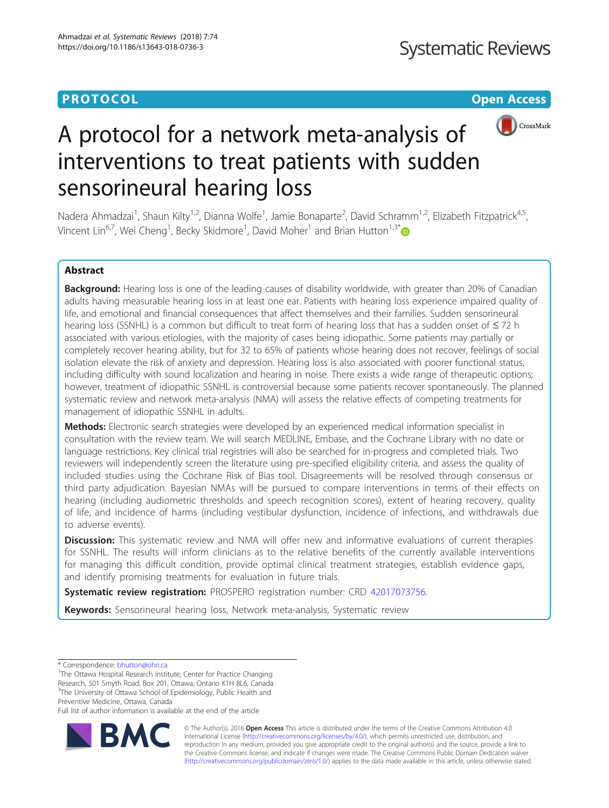# **PROTOCOL CONSUMING THE OPEN ACCESS**



# A protocol for a network meta-analysis of interventions to treat patients with sudden sensorineural hearing loss

Nadera Ahmadzai<sup>1</sup>, Shaun Kilty<sup>1,2</sup>, Dianna Wolfe<sup>1</sup>, Jamie Bonaparte<sup>2</sup>, David Schramm<sup>1,2</sup>, Elizabeth Fitzpatrick<sup>4,5</sup>, Vincent Lin<sup>6,7</sup>, Wei Cheng<sup>1</sup>, Becky Skidmore<sup>1</sup>, David Moher<sup>1</sup> and Brian Hutton<sup>1,3[\\*](http://orcid.org/0000-0001-5662-8647)</sup>

## Abstract

Background: Hearing loss is one of the leading causes of disability worldwide, with greater than 20% of Canadian adults having measurable hearing loss in at least one ear. Patients with hearing loss experience impaired quality of life, and emotional and financial consequences that affect themselves and their families. Sudden sensorineural hearing loss (SSNHL) is a common but difficult to treat form of hearing loss that has a sudden onset of ≤ 72 h associated with various etiologies, with the majority of cases being idiopathic. Some patients may partially or completely recover hearing ability, but for 32 to 65% of patients whose hearing does not recover, feelings of social isolation elevate the risk of anxiety and depression. Hearing loss is also associated with poorer functional status, including difficulty with sound localization and hearing in noise. There exists a wide range of therapeutic options; however, treatment of idiopathic SSNHL is controversial because some patients recover spontaneously. The planned systematic review and network meta-analysis (NMA) will assess the relative effects of competing treatments for management of idiopathic SSNHL in adults.

Methods: Electronic search strategies were developed by an experienced medical information specialist in consultation with the review team. We will search MEDLINE, Embase, and the Cochrane Library with no date or language restrictions. Key clinical trial registries will also be searched for in-progress and completed trials. Two reviewers will independently screen the literature using pre-specified eligibility criteria, and assess the quality of included studies using the Cochrane Risk of Bias tool. Disagreements will be resolved through consensus or third party adjudication. Bayesian NMAs will be pursued to compare interventions in terms of their effects on hearing (including audiometric thresholds and speech recognition scores), extent of hearing recovery, quality of life, and incidence of harms (including vestibular dysfunction, incidence of infections, and withdrawals due to adverse events).

**Discussion:** This systematic review and NMA will offer new and informative evaluations of current therapies for SSNHL. The results will inform clinicians as to the relative benefits of the currently available interventions for managing this difficult condition, provide optimal clinical treatment strategies, establish evidence gaps, and identify promising treatments for evaluation in future trials.

Systematic review registration: PROSPERO registration number: CRD [42017073756](https://www.crd.york.ac.uk/prospero/display_record.php?RecordID=73756).

Keywords: Sensorineural hearing loss, Network meta-analysis, Systematic review

\* Correspondence: [bhutton@ohri.ca](mailto:bhutton@ohri.ca) <sup>1</sup>

<sup>1</sup>The Ottawa Hospital Research Institute, Center for Practice Changing Research, 501 Smyth Road, Box 201, Ottawa, Ontario K1H 8L6, Canada <sup>3</sup>The University of Ottawa School of Epidemiology, Public Health and

Preventive Medicine, Ottawa, Canada

Full list of author information is available at the end of the article



© The Author(s). 2018 Open Access This article is distributed under the terms of the Creative Commons Attribution 4.0 International License [\(http://creativecommons.org/licenses/by/4.0/](http://creativecommons.org/licenses/by/4.0/)), which permits unrestricted use, distribution, and reproduction in any medium, provided you give appropriate credit to the original author(s) and the source, provide a link to the Creative Commons license, and indicate if changes were made. The Creative Commons Public Domain Dedication waiver [\(http://creativecommons.org/publicdomain/zero/1.0/](http://creativecommons.org/publicdomain/zero/1.0/)) applies to the data made available in this article, unless otherwise stated.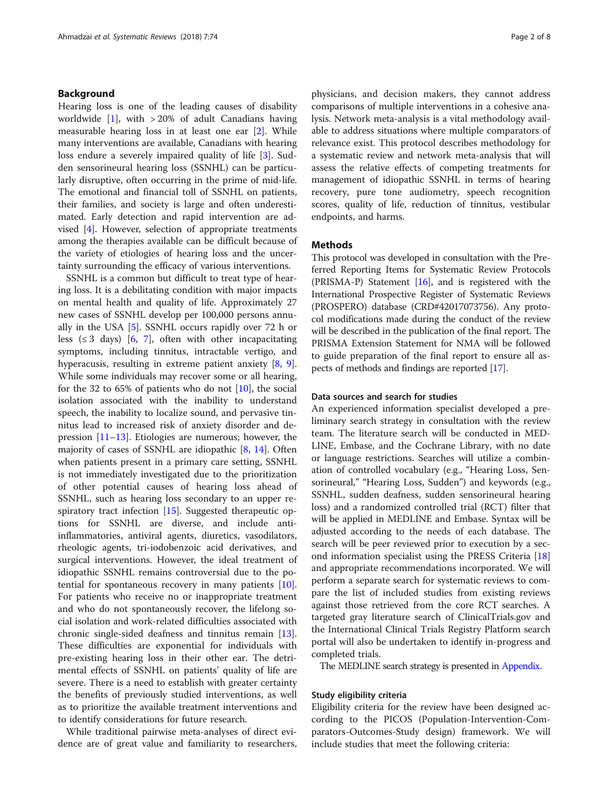## Background

Hearing loss is one of the leading causes of disability worldwide  $[1]$  $[1]$ , with > 20% of adult Canadians having measurable hearing loss in at least one ear [[2\]](#page-6-0). While many interventions are available, Canadians with hearing loss endure a severely impaired quality of life [\[3](#page-6-0)]. Sudden sensorineural hearing loss (SSNHL) can be particularly disruptive, often occurring in the prime of mid-life. The emotional and financial toll of SSNHL on patients, their families, and society is large and often underestimated. Early detection and rapid intervention are advised [[4\]](#page-6-0). However, selection of appropriate treatments among the therapies available can be difficult because of the variety of etiologies of hearing loss and the uncertainty surrounding the efficacy of various interventions.

SSNHL is a common but difficult to treat type of hearing loss. It is a debilitating condition with major impacts on mental health and quality of life. Approximately 27 new cases of SSNHL develop per 100,000 persons annually in the USA [\[5](#page-6-0)]. SSNHL occurs rapidly over 72 h or less ( $\leq$  3 days) [[6,](#page-6-0) [7](#page-6-0)], often with other incapacitating symptoms, including tinnitus, intractable vertigo, and hyperacusis, resulting in extreme patient anxiety [[8,](#page-6-0) [9](#page-6-0)]. While some individuals may recover some or all hearing, for the 32 to 65% of patients who do not [\[10](#page-6-0)], the social isolation associated with the inability to understand speech, the inability to localize sound, and pervasive tinnitus lead to increased risk of anxiety disorder and depression [\[11](#page-6-0)–[13](#page-6-0)]. Etiologies are numerous; however, the majority of cases of SSNHL are idiopathic [\[8,](#page-6-0) [14](#page-6-0)]. Often when patients present in a primary care setting, SSNHL is not immediately investigated due to the prioritization of other potential causes of hearing loss ahead of SSNHL, such as hearing loss secondary to an upper respiratory tract infection [[15\]](#page-6-0). Suggested therapeutic options for SSNHL are diverse, and include antiinflammatories, antiviral agents, diuretics, vasodilators, rheologic agents, tri-iodobenzoic acid derivatives, and surgical interventions. However, the ideal treatment of idiopathic SSNHL remains controversial due to the potential for spontaneous recovery in many patients [\[10](#page-6-0)]. For patients who receive no or inappropriate treatment and who do not spontaneously recover, the lifelong social isolation and work-related difficulties associated with chronic single-sided deafness and tinnitus remain [\[13](#page-6-0)]. These difficulties are exponential for individuals with pre-existing hearing loss in their other ear. The detrimental effects of SSNHL on patients' quality of life are severe. There is a need to establish with greater certainty the benefits of previously studied interventions, as well as to prioritize the available treatment interventions and to identify considerations for future research.

While traditional pairwise meta-analyses of direct evidence are of great value and familiarity to researchers, physicians, and decision makers, they cannot address comparisons of multiple interventions in a cohesive analysis. Network meta-analysis is a vital methodology available to address situations where multiple comparators of relevance exist. This protocol describes methodology for a systematic review and network meta-analysis that will assess the relative effects of competing treatments for management of idiopathic SSNHL in terms of hearing recovery, pure tone audiometry, speech recognition scores, quality of life, reduction of tinnitus, vestibular endpoints, and harms.

## **Methods**

This protocol was developed in consultation with the Preferred Reporting Items for Systematic Review Protocols (PRISMA-P) Statement [[16](#page-6-0)], and is registered with the International Prospective Register of Systematic Reviews (PROSPERO) database (CRD#42017073756). Any protocol modifications made during the conduct of the review will be described in the publication of the final report. The PRISMA Extension Statement for NMA will be followed to guide preparation of the final report to ensure all aspects of methods and findings are reported [\[17\]](#page-6-0).

## Data sources and search for studies

An experienced information specialist developed a preliminary search strategy in consultation with the review team. The literature search will be conducted in MED-LINE, Embase, and the Cochrane Library, with no date or language restrictions. Searches will utilize a combination of controlled vocabulary (e.g., "Hearing Loss, Sensorineural," "Hearing Loss, Sudden") and keywords (e.g., SSNHL, sudden deafness, sudden sensorineural hearing loss) and a randomized controlled trial (RCT) filter that will be applied in MEDLINE and Embase. Syntax will be adjusted according to the needs of each database. The search will be peer reviewed prior to execution by a second information specialist using the PRESS Criteria [[18](#page-6-0)] and appropriate recommendations incorporated. We will perform a separate search for systematic reviews to compare the list of included studies from existing reviews against those retrieved from the core RCT searches. A targeted gray literature search of ClinicalTrials.gov and the International Clinical Trials Registry Platform search portal will also be undertaken to identify in-progress and completed trials.

The MEDLINE search strategy is presented in Appendix.

## Study eligibility criteria

Eligibility criteria for the review have been designed according to the PICOS (Population-Intervention-Comparators-Outcomes-Study design) framework. We will include studies that meet the following criteria: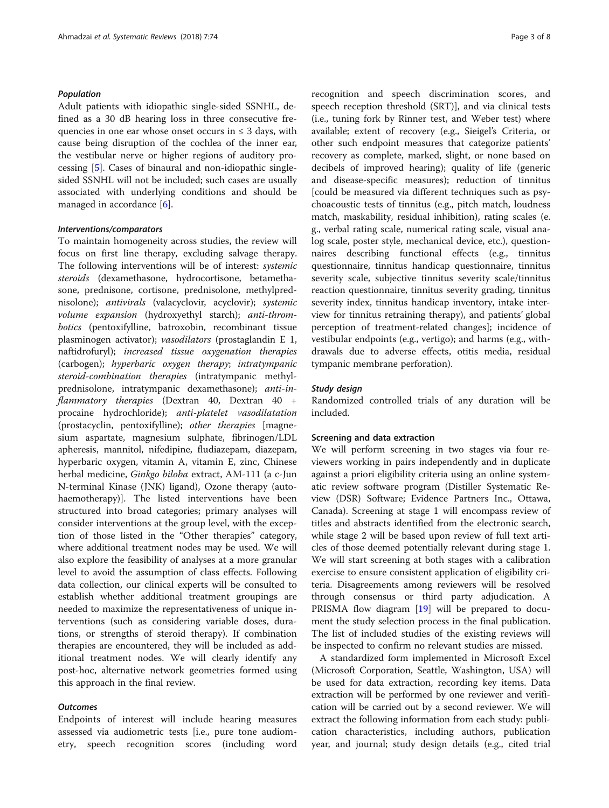## Population

Adult patients with idiopathic single-sided SSNHL, defined as a 30 dB hearing loss in three consecutive frequencies in one ear whose onset occurs in  $\leq 3$  days, with cause being disruption of the cochlea of the inner ear, the vestibular nerve or higher regions of auditory processing [\[5](#page-6-0)]. Cases of binaural and non-idiopathic singlesided SSNHL will not be included; such cases are usually associated with underlying conditions and should be managed in accordance [\[6](#page-6-0)].

## Interventions/comparators

To maintain homogeneity across studies, the review will focus on first line therapy, excluding salvage therapy. The following interventions will be of interest: systemic steroids (dexamethasone, hydrocortisone, betamethasone, prednisone, cortisone, prednisolone, methylprednisolone); antivirals (valacyclovir, acyclovir); systemic volume expansion (hydroxyethyl starch); anti-thrombotics (pentoxifylline, batroxobin, recombinant tissue plasminogen activator); vasodilators (prostaglandin E 1, naftidrofuryl); increased tissue oxygenation therapies (carbogen); hyperbaric oxygen therapy; intratympanic steroid-combination therapies (intratympanic methylprednisolone, intratympanic dexamethasone); anti-inflammatory therapies (Dextran 40, Dextran 40 + procaine hydrochloride); anti-platelet vasodilatation (prostacyclin, pentoxifylline); other therapies [magnesium aspartate, magnesium sulphate, fibrinogen/LDL apheresis, mannitol, nifedipine, fludiazepam, diazepam, hyperbaric oxygen, vitamin A, vitamin E, zinc, Chinese herbal medicine, Ginkgo biloba extract, AM-111 (a c-Jun N-terminal Kinase (JNK) ligand), Ozone therapy (autohaemotherapy)]. The listed interventions have been structured into broad categories; primary analyses will consider interventions at the group level, with the exception of those listed in the "Other therapies" category, where additional treatment nodes may be used. We will also explore the feasibility of analyses at a more granular level to avoid the assumption of class effects. Following data collection, our clinical experts will be consulted to establish whether additional treatment groupings are needed to maximize the representativeness of unique interventions (such as considering variable doses, durations, or strengths of steroid therapy). If combination therapies are encountered, they will be included as additional treatment nodes. We will clearly identify any post-hoc, alternative network geometries formed using this approach in the final review.

## **Outcomes**

Endpoints of interest will include hearing measures assessed via audiometric tests [i.e., pure tone audiometry, speech recognition scores (including word

recognition and speech discrimination scores, and speech reception threshold (SRT)], and via clinical tests (i.e., tuning fork by Rinner test, and Weber test) where available; extent of recovery (e.g., Sieigel's Criteria, or other such endpoint measures that categorize patients' recovery as complete, marked, slight, or none based on decibels of improved hearing); quality of life (generic and disease-specific measures); reduction of tinnitus [could be measured via different techniques such as psychoacoustic tests of tinnitus (e.g., pitch match, loudness match, maskability, residual inhibition), rating scales (e. g., verbal rating scale, numerical rating scale, visual analog scale, poster style, mechanical device, etc.), questionnaires describing functional effects (e.g., tinnitus questionnaire, tinnitus handicap questionnaire, tinnitus severity scale, subjective tinnitus severity scale/tinnitus reaction questionnaire, tinnitus severity grading, tinnitus severity index, tinnitus handicap inventory, intake interview for tinnitus retraining therapy), and patients' global perception of treatment-related changes]; incidence of vestibular endpoints (e.g., vertigo); and harms (e.g., withdrawals due to adverse effects, otitis media, residual tympanic membrane perforation).

### Study design

Randomized controlled trials of any duration will be included.

### Screening and data extraction

We will perform screening in two stages via four reviewers working in pairs independently and in duplicate against a priori eligibility criteria using an online systematic review software program (Distiller Systematic Review (DSR) Software; Evidence Partners Inc., Ottawa, Canada). Screening at stage 1 will encompass review of titles and abstracts identified from the electronic search, while stage 2 will be based upon review of full text articles of those deemed potentially relevant during stage 1. We will start screening at both stages with a calibration exercise to ensure consistent application of eligibility criteria. Disagreements among reviewers will be resolved through consensus or third party adjudication. A PRISMA flow diagram [\[19\]](#page-6-0) will be prepared to document the study selection process in the final publication. The list of included studies of the existing reviews will be inspected to confirm no relevant studies are missed.

A standardized form implemented in Microsoft Excel (Microsoft Corporation, Seattle, Washington, USA) will be used for data extraction, recording key items. Data extraction will be performed by one reviewer and verification will be carried out by a second reviewer. We will extract the following information from each study: publication characteristics, including authors, publication year, and journal; study design details (e.g., cited trial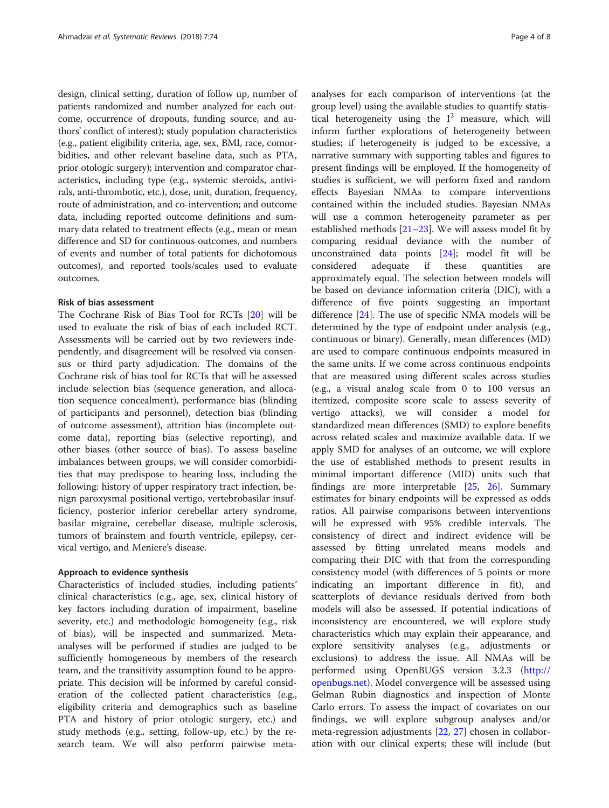design, clinical setting, duration of follow up, number of patients randomized and number analyzed for each outcome, occurrence of dropouts, funding source, and authors' conflict of interest); study population characteristics (e.g., patient eligibility criteria, age, sex, BMI, race, comorbidities, and other relevant baseline data, such as PTA, prior otologic surgery); intervention and comparator characteristics, including type (e.g., systemic steroids, antivirals, anti-thrombotic, etc.), dose, unit, duration, frequency, route of administration, and co-intervention; and outcome data, including reported outcome definitions and summary data related to treatment effects (e.g., mean or mean difference and SD for continuous outcomes, and numbers of events and number of total patients for dichotomous outcomes), and reported tools/scales used to evaluate outcomes.

## Risk of bias assessment

The Cochrane Risk of Bias Tool for RCTs [[20\]](#page-6-0) will be used to evaluate the risk of bias of each included RCT. Assessments will be carried out by two reviewers independently, and disagreement will be resolved via consensus or third party adjudication. The domains of the Cochrane risk of bias tool for RCTs that will be assessed include selection bias (sequence generation, and allocation sequence concealment), performance bias (blinding of participants and personnel), detection bias (blinding of outcome assessment), attrition bias (incomplete outcome data), reporting bias (selective reporting), and other biases (other source of bias). To assess baseline imbalances between groups, we will consider comorbidities that may predispose to hearing loss, including the following: history of upper respiratory tract infection, benign paroxysmal positional vertigo, vertebrobasilar insufficiency, posterior inferior cerebellar artery syndrome, basilar migraine, cerebellar disease, multiple sclerosis, tumors of brainstem and fourth ventricle, epilepsy, cervical vertigo, and Meniere's disease.

#### Approach to evidence synthesis

Characteristics of included studies, including patients' clinical characteristics (e.g., age, sex, clinical history of key factors including duration of impairment, baseline severity, etc.) and methodologic homogeneity (e.g., risk of bias), will be inspected and summarized. Metaanalyses will be performed if studies are judged to be sufficiently homogeneous by members of the research team, and the transitivity assumption found to be appropriate. This decision will be informed by careful consideration of the collected patient characteristics (e.g., eligibility criteria and demographics such as baseline PTA and history of prior otologic surgery, etc.) and study methods (e.g., setting, follow-up, etc.) by the research team. We will also perform pairwise meta-

analyses for each comparison of interventions (at the group level) using the available studies to quantify statistical heterogeneity using the  $I^2$  measure, which will inform further explorations of heterogeneity between studies; if heterogeneity is judged to be excessive, a narrative summary with supporting tables and figures to present findings will be employed. If the homogeneity of studies is sufficient, we will perform fixed and random effects Bayesian NMAs to compare interventions contained within the included studies. Bayesian NMAs will use a common heterogeneity parameter as per established methods [[21](#page-6-0)–[23](#page-6-0)]. We will assess model fit by comparing residual deviance with the number of unconstrained data points [\[24\]](#page-6-0); model fit will be considered adequate if these quantities are approximately equal. The selection between models will be based on deviance information criteria (DIC), with a difference of five points suggesting an important difference [\[24](#page-6-0)]. The use of specific NMA models will be determined by the type of endpoint under analysis (e.g., continuous or binary). Generally, mean differences (MD) are used to compare continuous endpoints measured in the same units. If we come across continuous endpoints that are measured using different scales across studies (e.g., a visual analog scale from 0 to 100 versus an itemized, composite score scale to assess severity of vertigo attacks), we will consider a model for standardized mean differences (SMD) to explore benefits across related scales and maximize available data. If we apply SMD for analyses of an outcome, we will explore the use of established methods to present results in minimal important difference (MID) units such that findings are more interpretable [\[25,](#page-6-0) [26](#page-6-0)]. Summary estimates for binary endpoints will be expressed as odds ratios. All pairwise comparisons between interventions will be expressed with 95% credible intervals. The consistency of direct and indirect evidence will be assessed by fitting unrelated means models and comparing their DIC with that from the corresponding consistency model (with differences of 5 points or more indicating an important difference in fit), and scatterplots of deviance residuals derived from both models will also be assessed. If potential indications of inconsistency are encountered, we will explore study characteristics which may explain their appearance, and explore sensitivity analyses (e.g., adjustments or exclusions) to address the issue. All NMAs will be performed using OpenBUGS version 3.2.3 [\(http://](http://openbugs.net) [openbugs.net\)](http://openbugs.net). Model convergence will be assessed using Gelman Rubin diagnostics and inspection of Monte Carlo errors. To assess the impact of covariates on our findings, we will explore subgroup analyses and/or meta-regression adjustments [[22](#page-6-0), [27](#page-6-0)] chosen in collaboration with our clinical experts; these will include (but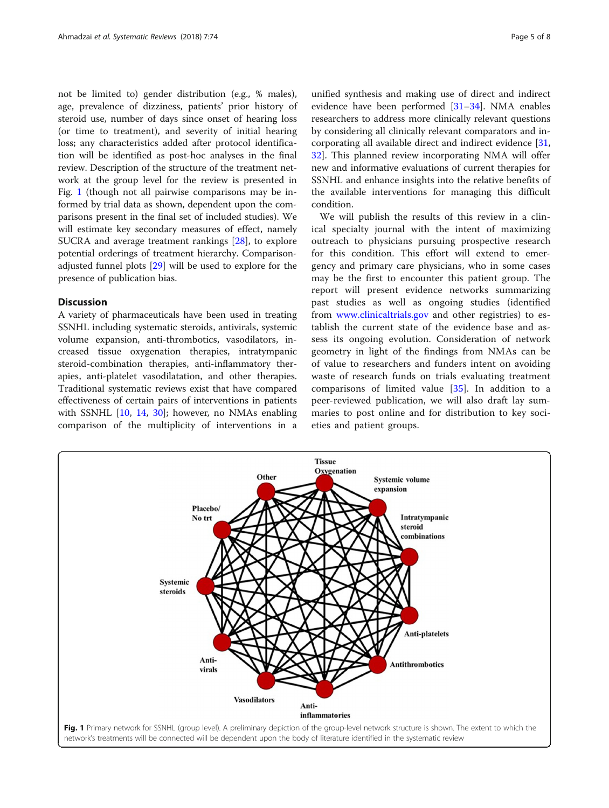not be limited to) gender distribution (e.g., % males), age, prevalence of dizziness, patients' prior history of steroid use, number of days since onset of hearing loss (or time to treatment), and severity of initial hearing loss; any characteristics added after protocol identification will be identified as post-hoc analyses in the final review. Description of the structure of the treatment network at the group level for the review is presented in Fig. 1 (though not all pairwise comparisons may be informed by trial data as shown, dependent upon the comparisons present in the final set of included studies). We will estimate key secondary measures of effect, namely SUCRA and average treatment rankings [[28\]](#page-7-0), to explore potential orderings of treatment hierarchy. Comparisonadjusted funnel plots [\[29](#page-7-0)] will be used to explore for the presence of publication bias.

## **Discussion**

A variety of pharmaceuticals have been used in treating SSNHL including systematic steroids, antivirals, systemic volume expansion, anti-thrombotics, vasodilators, increased tissue oxygenation therapies, intratympanic steroid-combination therapies, anti-inflammatory therapies, anti-platelet vasodilatation, and other therapies. Traditional systematic reviews exist that have compared effectiveness of certain pairs of interventions in patients with SSNHL [\[10,](#page-6-0) [14](#page-6-0), [30](#page-7-0)]; however, no NMAs enabling comparison of the multiplicity of interventions in a

unified synthesis and making use of direct and indirect evidence have been performed [[31](#page-7-0)–[34](#page-7-0)]. NMA enables researchers to address more clinically relevant questions by considering all clinically relevant comparators and incorporating all available direct and indirect evidence [[31](#page-7-0), [32\]](#page-7-0). This planned review incorporating NMA will offer new and informative evaluations of current therapies for SSNHL and enhance insights into the relative benefits of the available interventions for managing this difficult condition.

We will publish the results of this review in a clinical specialty journal with the intent of maximizing outreach to physicians pursuing prospective research for this condition. This effort will extend to emergency and primary care physicians, who in some cases may be the first to encounter this patient group. The report will present evidence networks summarizing past studies as well as ongoing studies (identified from [www.clinicaltrials.gov](http://www.clinicaltrials.gov) and other registries) to establish the current state of the evidence base and assess its ongoing evolution. Consideration of network geometry in light of the findings from NMAs can be of value to researchers and funders intent on avoiding waste of research funds on trials evaluating treatment comparisons of limited value [\[35](#page-7-0)]. In addition to a peer-reviewed publication, we will also draft lay summaries to post online and for distribution to key societies and patient groups.

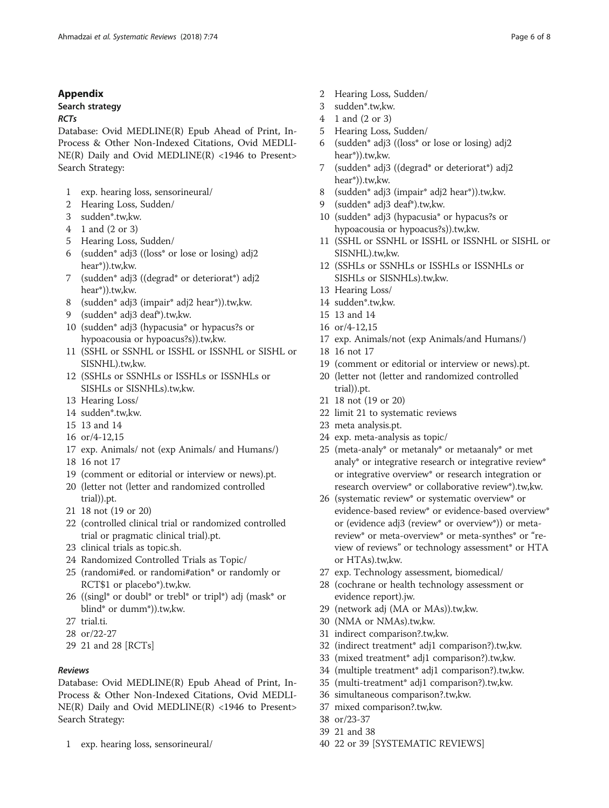## Appendix

## Search strategy

## RCTs

Database: Ovid MEDLINE(R) Epub Ahead of Print, In-Process & Other Non-Indexed Citations, Ovid MEDLI-NE(R) Daily and Ovid MEDLINE(R) <1946 to Present> Search Strategy:

- 1 exp. hearing loss, sensorineural/
- 2 Hearing Loss, Sudden/
- 3 sudden\*.tw,kw.
- 4 1 and (2 or 3)
- 5 Hearing Loss, Sudden/
- 6 (sudden\* adj3 ((loss\* or lose or losing) adj2 hear\*)).tw,kw.
- 7 (sudden\* adj3 ((degrad\* or deteriorat\*) adj2 hear\*)).tw,kw.
- 8 (sudden\* adj3 (impair\* adj2 hear\*)).tw,kw.
- 9 (sudden\* adj3 deaf\*).tw,kw.
- 10 (sudden\* adj3 (hypacusia\* or hypacus?s or hypoacousia or hypoacus?s)).tw,kw.
- 11 (SSHL or SSNHL or ISSHL or ISSNHL or SISHL or SISNHL).tw,kw.
- 12 (SSHLs or SSNHLs or ISSHLs or ISSNHLs or SISHLs or SISNHLs).tw,kw.
- 13 Hearing Loss/
- 14 sudden\*.tw,kw.
- 15 13 and 14
- 16 or/4-12,15
- 17 exp. Animals/ not (exp Animals/ and Humans/)
- 18 16 not 17
- 19 (comment or editorial or interview or news).pt.
- 20 (letter not (letter and randomized controlled trial)).pt.
- 21 18 not (19 or 20)
- 22 (controlled clinical trial or randomized controlled trial or pragmatic clinical trial).pt.
- 23 clinical trials as topic.sh.
- 24 Randomized Controlled Trials as Topic/
- 25 (randomi#ed. or randomi#ation\* or randomly or RCT\$1 or placebo\*).tw,kw.
- 26 ((singl\* or doubl\* or trebl\* or tripl\*) adj (mask\* or blind\* or dumm\*)).tw,kw.
- 27 trial.ti.
- 28 or/22-27
- 29 21 and 28 [RCTs]

## Reviews

Database: Ovid MEDLINE(R) Epub Ahead of Print, In-Process & Other Non-Indexed Citations, Ovid MEDLI- $NE(R)$  Daily and Ovid MEDLINE(R) <1946 to Present> Search Strategy:

1 exp. hearing loss, sensorineural/

- 2 Hearing Loss, Sudden/
- 3 sudden\*.tw,kw.
- 4 1 and (2 or 3)
- 5 Hearing Loss, Sudden/
- 6 (sudden\* adj3 ((loss\* or lose or losing) adj2 hear\*)).tw,kw.
- 7 (sudden\* adj3 ((degrad\* or deteriorat\*) adj2 hear\*)).tw,kw.
- 8 (sudden\* adj3 (impair\* adj2 hear\*)).tw,kw.
- 9 (sudden\* adj3 deaf\*).tw,kw.
- 10 (sudden\* adj3 (hypacusia\* or hypacus?s or hypoacousia or hypoacus?s)).tw,kw.
- 11 (SSHL or SSNHL or ISSHL or ISSNHL or SISHL or SISNHL).tw,kw.
- 12 (SSHLs or SSNHLs or ISSHLs or ISSNHLs or SISHLs or SISNHLs).tw,kw.
- 13 Hearing Loss/
- 14 sudden\*.tw,kw.
- 15 13 and 14
- 16 or/4-12,15
- 17 exp. Animals/not (exp Animals/and Humans/)
- 18 16 not 17
- 19 (comment or editorial or interview or news).pt.
- 20 (letter not (letter and randomized controlled trial)).pt.
- 21 18 not (19 or 20)
- 22 limit 21 to systematic reviews
- 23 meta analysis.pt.
- 24 exp. meta-analysis as topic/
- 25 (meta-analy\* or metanaly\* or metaanaly\* or met analy\* or integrative research or integrative review\* or integrative overview\* or research integration or research overview\* or collaborative review\*).tw,kw.
- 26 (systematic review\* or systematic overview\* or evidence-based review\* or evidence-based overview\* or (evidence adj3 (review\* or overview\*)) or metareview\* or meta-overview\* or meta-synthes\* or "review of reviews" or technology assessment\* or HTA or HTAs).tw,kw.
- 27 exp. Technology assessment, biomedical/
- 28 (cochrane or health technology assessment or evidence report).jw.
- 29 (network adj (MA or MAs)).tw,kw.
- 30 (NMA or NMAs).tw,kw.
- 31 indirect comparison?.tw,kw.
- 32 (indirect treatment\* adj1 comparison?).tw,kw.
- 33 (mixed treatment\* adj1 comparison?).tw,kw.
- 34 (multiple treatment\* adj1 comparison?).tw,kw.
- 35 (multi-treatment\* adj1 comparison?).tw,kw.
- 36 simultaneous comparison?.tw,kw.
- 37 mixed comparison?.tw,kw.
- 38 or/23-37
- 39 21 and 38
- 40 22 or 39 [SYSTEMATIC REVIEWS]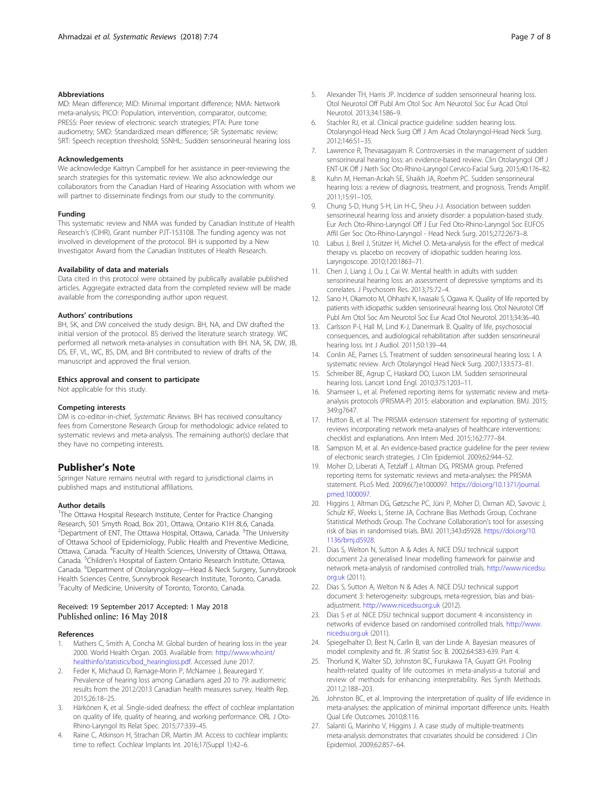#### <span id="page-6-0"></span>Abbreviations

MD: Mean difference; MID: Minimal important difference; NMA: Network meta-analysis; PICO: Population, intervention, comparator, outcome; PRESS: Peer review of electronic search strategies; PTA: Pure tone audiometry; SMD: Standardized mean difference; SR: Systematic review; SRT: Speech reception threshold; SSNHL: Sudden sensorineural hearing loss

#### Acknowledgements

We acknowledge Kaitryn Campbell for her assistance in peer-reviewing the search strategies for this systematic review. We also acknowledge our collaborators from the Canadian Hard of Hearing Association with whom we will partner to disseminate findings from our study to the community.

#### Funding

This systematic review and NMA was funded by Canadian Institute of Health Research's (CIHR), Grant number PJT-153108. The funding agency was not involved in development of the protocol. BH is supported by a New Investigator Award from the Canadian Institutes of Health Research.

#### Availability of data and materials

Data cited in this protocol were obtained by publically available published articles. Aggregate extracted data from the completed review will be made available from the corresponding author upon request.

#### Authors' contributions

BH, SK, and DW conceived the study design. BH, NA, and DW drafted the initial version of the protocol. BS derived the literature search strategy. WC performed all network meta-analyses in consultation with BH. NA, SK, DW, JB, DS, EF, VL, WC, BS, DM, and BH contributed to review of drafts of the manuscript and approved the final version.

#### Ethics approval and consent to participate

Not applicable for this study.

#### Competing interests

DM is co-editor-in-chief, Systematic Reviews. BH has received consultancy fees from Cornerstone Research Group for methodologic advice related to systematic reviews and meta-analysis. The remaining author(s) declare that they have no competing interests.

#### Publisher's Note

Springer Nature remains neutral with regard to jurisdictional claims in published maps and institutional affiliations.

#### Author details

<sup>1</sup>The Ottawa Hospital Research Institute, Center for Practice Changing Research, 501 Smyth Road, Box 201, Ottawa, Ontario K1H 8L6, Canada. <sup>2</sup>Department of ENT, The Ottawa Hospital, Ottawa, Canada. <sup>3</sup>The University of Ottawa School of Epidemiology, Public Health and Preventive Medicine, Ottawa, Canada. <sup>4</sup>Faculty of Health Sciences, University of Ottawa, Ottawa, Canada. <sup>5</sup>Children's Hospital of Eastern Ontario Research Institute, Ottawa, Canada. <sup>6</sup>Department of Otolaryngology—Head & Neck Surgery, Sunnybrook Health Sciences Centre, Sunnybrook Research Institute, Toronto, Canada. <sup>7</sup> Faculty of Medicine, University of Toronto, Toronto, Canada.

## Received: 19 September 2017 Accepted: 1 May 2018 Published online: 16 May 2018

#### References

- Mathers C, Smith A, Concha M. Global burden of hearing loss in the year 2000. World Health Organ. 2003. Available from: [http://www.who.int/](http://www.who.int/healthinfo/statistics/bod_hearingloss.pdf) [healthinfo/statistics/bod\\_hearingloss.pdf.](http://www.who.int/healthinfo/statistics/bod_hearingloss.pdf) Accessed June 2017.
- 2. Feder K, Michaud D, Ramage-Morin P, McNamee J, Beauregard Y. Prevalence of hearing loss among Canadians aged 20 to 79: audiometric results from the 2012/2013 Canadian health measures survey. Health Rep. 2015;26:18–25.
- Härkönen K, et al. Single-sided deafness: the effect of cochlear implantation on quality of life, quality of hearing, and working performance. ORL J Oto-Rhino-Laryngol Its Relat Spec. 2015;77:339–45.
- Raine C, Atkinson H, Strachan DR, Martin JM. Access to cochlear implants: time to reflect. Cochlear Implants Int. 2016;17(Suppl 1):42–6.
- 5. Alexander TH, Harris JP. Incidence of sudden sensorineural hearing loss. Otol Neurotol Off Publ Am Otol Soc Am Neurotol Soc Eur Acad Otol Neurotol. 2013;34:1586–9.
- 6. Stachler RJ, et al. Clinical practice guideline: sudden hearing loss. Otolaryngol-Head Neck Surg Off J Am Acad Otolaryngol-Head Neck Surg. 2012;146:S1–35.
- 7. Lawrence R, Thevasagayam R. Controversies in the management of sudden sensorineural hearing loss: an evidence-based review. Clin Otolaryngol Off J ENT-UK Off J Neth Soc Oto-Rhino-Laryngol Cervico-Facial Surg. 2015;40:176–82.
- 8. Kuhn M, Heman-Ackah SE, Shaikh JA, Roehm PC. Sudden sensorineural hearing loss: a review of diagnosis, treatment, and prognosis. Trends Amplif. 2011;15:91–105.
- 9. Chung S-D, Hung S-H, Lin H-C, Sheu J-J. Association between sudden sensorineural hearing loss and anxiety disorder: a population-based study. Eur Arch Oto-Rhino-Laryngol Off J Eur Fed Oto-Rhino-Laryngol Soc EUFOS Affil Ger Soc Oto-Rhino-Laryngol - Head Neck Surg. 2015;272:2673–8.
- 10. Labus J, Breil J, Stützer H, Michel O. Meta-analysis for the effect of medical therapy vs. placebo on recovery of idiopathic sudden hearing loss. Laryngoscope. 2010;120:1863–71.
- 11. Chen J, Liang J, Ou J, Cai W. Mental health in adults with sudden sensorineural hearing loss: an assessment of depressive symptoms and its correlates. J Psychosom Res. 2013;75:72–4.
- 12. Sano H, Okamoto M, Ohhashi K, Iwasaki S, Ogawa K. Quality of life reported by patients with idiopathic sudden sensorineural hearing loss. Otol Neurotol Off Publ Am Otol Soc Am Neurotol Soc Eur Acad Otol Neurotol. 2013;34:36–40.
- 13. Carlsson P-I, Hall M, Lind K-J, Danermark B. Quality of life, psychosocial consequences, and audiological rehabilitation after sudden sensorineural hearing loss. Int J Audiol. 2011;50:139–44.
- 14. Conlin AE, Parnes LS. Treatment of sudden sensorineural hearing loss: I. A systematic review. Arch Otolaryngol Head Neck Surg. 2007;133:573–81.
- 15. Schreiber BE, Agrup C, Haskard DO, Luxon LM. Sudden sensorineural hearing loss. Lancet Lond Engl. 2010;375:1203–11.
- 16. Shamseer L, et al. Preferred reporting items for systematic review and metaanalysis protocols (PRISMA-P) 2015: elaboration and explanation. BMJ. 2015; 349:g7647.
- 17. Hutton B, et al. The PRISMA extension statement for reporting of systematic reviews incorporating network meta-analyses of healthcare interventions: checklist and explanations. Ann Intern Med. 2015;162:777–84.
- 18. Sampson M, et al. An evidence-based practice guideline for the peer review of electronic search strategies. J Clin Epidemiol. 2009;62:944–52.
- 19. Moher D, Liberati A, Tetzlaff J, Altman DG, PRISMA group. Preferred reporting items for systematic reviews and meta-analyses: the PRISMA statement. PLoS Med. 2009;6(7):e1000097. [https://doi.org/10.1371/journal.](https://doi.org/10.1371/journal.pmed.1000097) [pmed.1000097.](https://doi.org/10.1371/journal.pmed.1000097)
- 20. Higgins J, Altman DG, Gøtzsche PC, Jüni P, Moher D, Oxman AD, Savovic J, Schulz KF, Weeks L, Sterne JA, Cochrane Bias Methods Group, Cochrane Statistical Methods Group. The Cochrane Collaboration's tool for assessing risk of bias in randomised trials. BMJ. 2011;343:d5928. [https://doi.org/10.](https://doi.org/10.1136/bmj.d5928) [1136/bmj.d5928.](https://doi.org/10.1136/bmj.d5928)
- 21. Dias S, Welton N, Sutton A & Ades A. NICE DSU technical support document 2:a generalised linear modelling framework for pairwise and network meta-analysis of randomised controlled trials. [http://www.nicedsu.](http://www.nicedsu.org.uk) [org.uk](http://www.nicedsu.org.uk) (2011).
- 22. Dias S, Sutton A, Welton N & Ades A. NICE DSU technical support document 3: heterogeneity: subgroups, meta-regression, bias and biasadjustment. <http://www.nicedsu.org.uk> (2012).
- 23. Dias S et al. NICE DSU technical support document 4: inconsistency in networks of evidence based on randomised controlled trials. [http://www.](http://www.nicedsu.org.uk) [nicedsu.org.uk](http://www.nicedsu.org.uk) (2011).
- 24. Spiegelhalter D, Best N, Carlin B, van der Linde A. Bayesian measures of model complexity and fit. JR Statist Soc B. 2002;64:583-639. Part 4.
- 25. Thorlund K, Walter SD, Johnston BC, Furukawa TA, Guyatt GH. Pooling health-related quality of life outcomes in meta-analysis-a tutorial and review of methods for enhancing interpretability. Res Synth Methods. 2011;2:188–203.
- 26. Johnston BC, et al. Improving the interpretation of quality of life evidence in meta-analyses: the application of minimal important difference units. Health Qual Life Outcomes. 2010;8:116.
- 27. Salanti G, Marinho V, Higgins J. A case study of multiple-treatments meta-analysis demonstrates that covariates should be considered. J Clin Epidemiol. 2009;62:857–64.